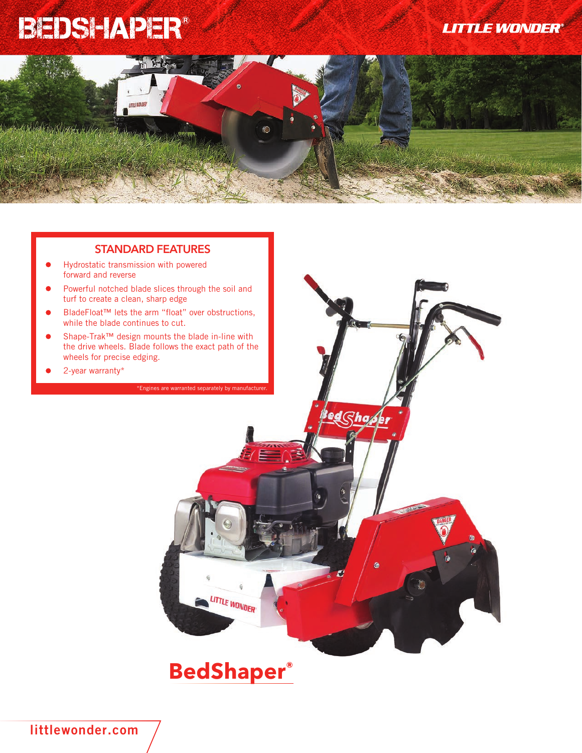## BEDSHAPER®

LITTLE MONDER









**LITTLE WONDER** 

**littlewonder.com**